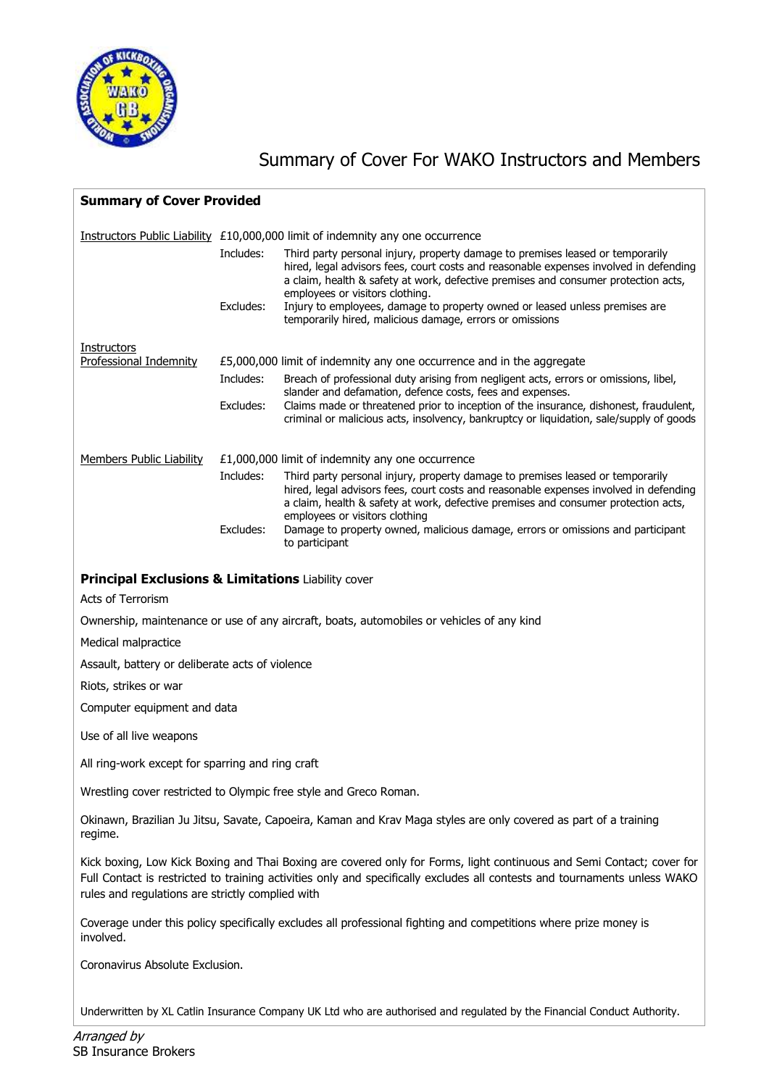

## Summary of Cover For WAKO Instructors and Members

| <b>Summary of Cover Provided</b>                                               |                                                                       |                                                                                                                                                                                                                                                                                                  |  |  |  |
|--------------------------------------------------------------------------------|-----------------------------------------------------------------------|--------------------------------------------------------------------------------------------------------------------------------------------------------------------------------------------------------------------------------------------------------------------------------------------------|--|--|--|
| Instructors Public Liability £10,000,000 limit of indemnity any one occurrence |                                                                       |                                                                                                                                                                                                                                                                                                  |  |  |  |
|                                                                                | Includes:                                                             | Third party personal injury, property damage to premises leased or temporarily<br>hired, legal advisors fees, court costs and reasonable expenses involved in defending<br>a claim, health & safety at work, defective premises and consumer protection acts,<br>employees or visitors clothing. |  |  |  |
|                                                                                | Excludes:                                                             | Injury to employees, damage to property owned or leased unless premises are<br>temporarily hired, malicious damage, errors or omissions                                                                                                                                                          |  |  |  |
| Instructors                                                                    |                                                                       |                                                                                                                                                                                                                                                                                                  |  |  |  |
| <b>Professional Indemnity</b>                                                  | £5,000,000 limit of indemnity any one occurrence and in the aggregate |                                                                                                                                                                                                                                                                                                  |  |  |  |
|                                                                                | Includes:                                                             | Breach of professional duty arising from negligent acts, errors or omissions, libel,<br>slander and defamation, defence costs, fees and expenses.                                                                                                                                                |  |  |  |
|                                                                                | Excludes:                                                             | Claims made or threatened prior to inception of the insurance, dishonest, fraudulent,<br>criminal or malicious acts, insolvency, bankruptcy or liquidation, sale/supply of goods                                                                                                                 |  |  |  |
| <b>Members Public Liability</b>                                                | £1,000,000 limit of indemnity any one occurrence                      |                                                                                                                                                                                                                                                                                                  |  |  |  |
|                                                                                | Includes:                                                             | Third party personal injury, property damage to premises leased or temporarily<br>hired, legal advisors fees, court costs and reasonable expenses involved in defending<br>a claim, health & safety at work, defective premises and consumer protection acts,<br>employees or visitors clothing  |  |  |  |
|                                                                                | Excludes:                                                             | Damage to property owned, malicious damage, errors or omissions and participant<br>to participant                                                                                                                                                                                                |  |  |  |
| <b>Principal Exclusions &amp; Limitations Liability cover</b>                  |                                                                       |                                                                                                                                                                                                                                                                                                  |  |  |  |
| <b>Acts of Terrorism</b>                                                       |                                                                       |                                                                                                                                                                                                                                                                                                  |  |  |  |
|                                                                                |                                                                       | Ownership, maintenance or use of any aircraft, boats, automobiles or vehicles of any kind                                                                                                                                                                                                        |  |  |  |
| Medical malpractice                                                            |                                                                       |                                                                                                                                                                                                                                                                                                  |  |  |  |
| Assault, battery or deliberate acts of violence                                |                                                                       |                                                                                                                                                                                                                                                                                                  |  |  |  |
| Riots, strikes or war                                                          |                                                                       |                                                                                                                                                                                                                                                                                                  |  |  |  |
| Computer equipment and data                                                    |                                                                       |                                                                                                                                                                                                                                                                                                  |  |  |  |
| Use of all live weapons                                                        |                                                                       |                                                                                                                                                                                                                                                                                                  |  |  |  |
| All ring-work except for sparring and ring craft                               |                                                                       |                                                                                                                                                                                                                                                                                                  |  |  |  |
|                                                                                |                                                                       | Wrestling cover restricted to Olympic free style and Greco Roman.                                                                                                                                                                                                                                |  |  |  |
| regime.                                                                        |                                                                       | Okinawn, Brazilian Ju Jitsu, Savate, Capoeira, Kaman and Krav Maga styles are only covered as part of a training                                                                                                                                                                                 |  |  |  |
| rules and regulations are strictly complied with                               |                                                                       | Kick boxing, Low Kick Boxing and Thai Boxing are covered only for Forms, light continuous and Semi Contact; cover for<br>Full Contact is restricted to training activities only and specifically excludes all contests and tournaments unless WAKO                                               |  |  |  |
| involved.                                                                      |                                                                       | Coverage under this policy specifically excludes all professional fighting and competitions where prize money is                                                                                                                                                                                 |  |  |  |
| Coronavirus Absolute Exclusion.                                                |                                                                       |                                                                                                                                                                                                                                                                                                  |  |  |  |
|                                                                                |                                                                       |                                                                                                                                                                                                                                                                                                  |  |  |  |

Underwritten by XL Catlin Insurance Company UK Ltd who are authorised and regulated by the Financial Conduct Authority.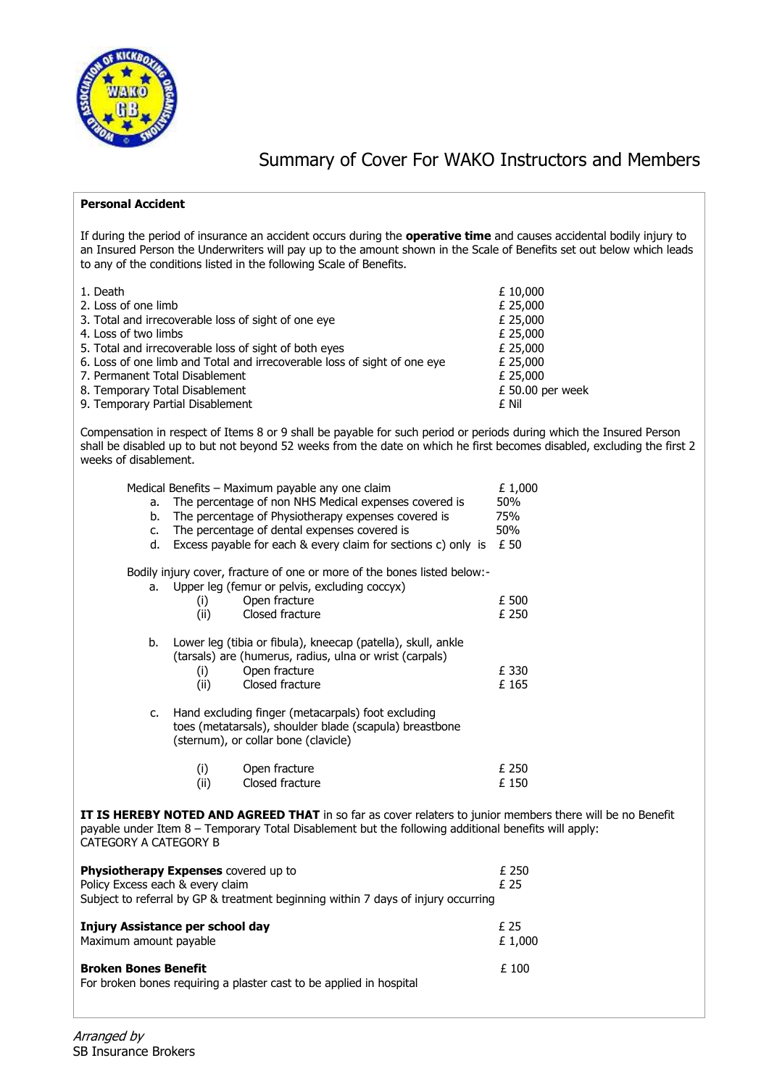

## Summary of Cover For WAKO Instructors and Members

## **Personal Accident**

If during the period of insurance an accident occurs during the **operative time** and causes accidental bodily injury to an Insured Person the Underwriters will pay up to the amount shown in the Scale of Benefits set out below which leads to any of the conditions listed in the following Scale of Benefits.

| 1. Death                                                                 | £ 10,000         |
|--------------------------------------------------------------------------|------------------|
| 2. Loss of one limb                                                      | £ 25,000         |
| 3. Total and irrecoverable loss of sight of one eye                      | £ 25,000         |
| 4. Loss of two limbs                                                     | £ 25,000         |
| 5. Total and irrecoverable loss of sight of both eyes                    | £ 25,000         |
| 6. Loss of one limb and Total and irrecoverable loss of sight of one eye | £ 25,000         |
| 7. Permanent Total Disablement                                           | £ 25,000         |
| 8. Temporary Total Disablement                                           | £ 50.00 per week |
| 9. Temporary Partial Disablement                                         | £ Nil            |

Compensation in respect of Items 8 or 9 shall be payable for such period or periods during which the Insured Person shall be disabled up to but not beyond 52 weeks from the date on which he first becomes disabled, excluding the first 2 weeks of disablement.

|                                                                                                                                                                                                                                            | Medical Benefits – Maximum payable any one claim | £1,000                                                                                                                                                |       |  |
|--------------------------------------------------------------------------------------------------------------------------------------------------------------------------------------------------------------------------------------------|--------------------------------------------------|-------------------------------------------------------------------------------------------------------------------------------------------------------|-------|--|
| а.                                                                                                                                                                                                                                         |                                                  | The percentage of non NHS Medical expenses covered is                                                                                                 | 50%   |  |
| b.                                                                                                                                                                                                                                         |                                                  | The percentage of Physiotherapy expenses covered is                                                                                                   | 75%   |  |
| $C_{\bullet}$                                                                                                                                                                                                                              |                                                  | The percentage of dental expenses covered is                                                                                                          | 50%   |  |
| d.                                                                                                                                                                                                                                         |                                                  | Excess payable for each & every claim for sections c) only is                                                                                         | £ 50  |  |
|                                                                                                                                                                                                                                            |                                                  | Bodily injury cover, fracture of one or more of the bones listed below:-                                                                              |       |  |
|                                                                                                                                                                                                                                            |                                                  | a. Upper leg (femur or pelvis, excluding coccyx)                                                                                                      |       |  |
|                                                                                                                                                                                                                                            | (i)                                              | Open fracture                                                                                                                                         | £ 500 |  |
|                                                                                                                                                                                                                                            | (ii)                                             | Closed fracture                                                                                                                                       | £ 250 |  |
| b.                                                                                                                                                                                                                                         |                                                  | Lower leg (tibia or fibula), kneecap (patella), skull, ankle<br>(tarsals) are (humerus, radius, ulna or wrist (carpals)                               |       |  |
|                                                                                                                                                                                                                                            | (i)                                              | Open fracture                                                                                                                                         | £ 330 |  |
|                                                                                                                                                                                                                                            | (ii)                                             | Closed fracture                                                                                                                                       | £165  |  |
| C.                                                                                                                                                                                                                                         |                                                  | Hand excluding finger (metacarpals) foot excluding<br>toes (metatarsals), shoulder blade (scapula) breastbone<br>(sternum), or collar bone (clavicle) |       |  |
|                                                                                                                                                                                                                                            |                                                  |                                                                                                                                                       | £ 250 |  |
|                                                                                                                                                                                                                                            | (i)<br>(ii)                                      | Open fracture<br>Closed fracture                                                                                                                      | £ 150 |  |
|                                                                                                                                                                                                                                            |                                                  |                                                                                                                                                       |       |  |
| IT IS HEREBY NOTED AND AGREED THAT in so far as cover relaters to junior members there will be no Benefit<br>payable under Item 8 - Temporary Total Disablement but the following additional benefits will apply:<br>CATEGORY A CATEGORY B |                                                  |                                                                                                                                                       |       |  |
|                                                                                                                                                                                                                                            |                                                  |                                                                                                                                                       |       |  |

| <b>Physiotherapy Expenses</b> covered up to<br>Policy Excess each & every claim<br>Subject to referral by GP & treatment beginning within 7 days of injury occurring | £ 250<br>£ 25  |
|----------------------------------------------------------------------------------------------------------------------------------------------------------------------|----------------|
| Injury Assistance per school day<br>Maximum amount payable                                                                                                           | f 25<br>£1,000 |
| <b>Broken Bones Benefit</b><br>For broken bones requiring a plaster cast to be applied in hospital                                                                   | £ 100          |